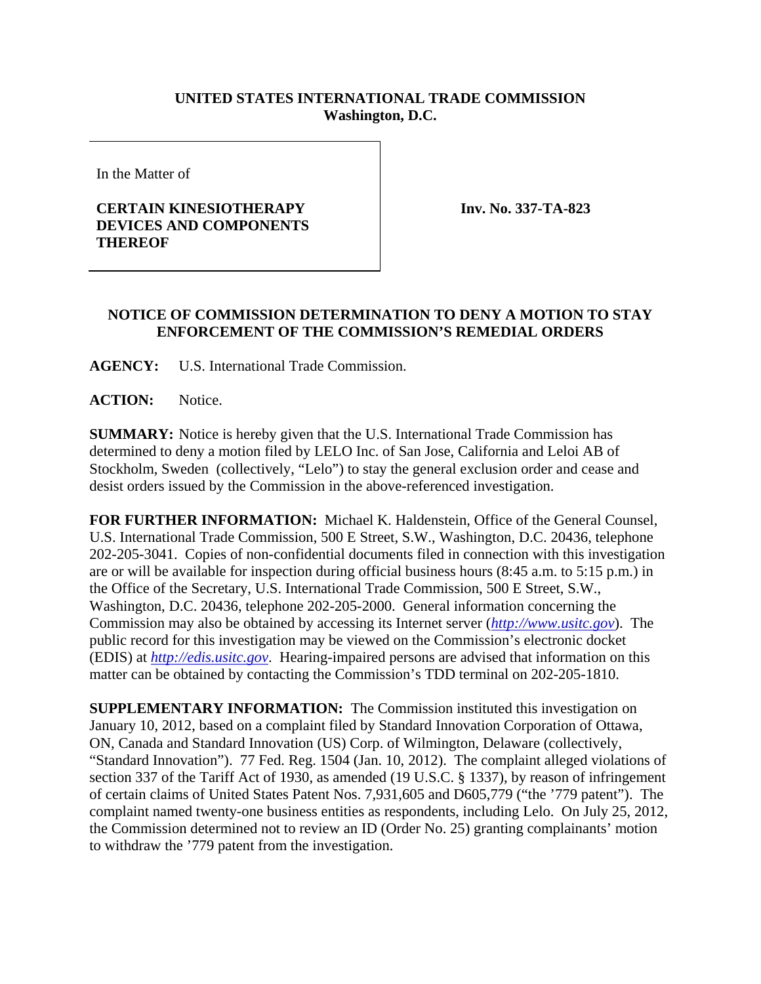## **UNITED STATES INTERNATIONAL TRADE COMMISSION Washington, D.C.**

In the Matter of

## **CERTAIN KINESIOTHERAPY DEVICES AND COMPONENTS THEREOF**

**Inv. No. 337-TA-823**

## **NOTICE OF COMMISSION DETERMINATION TO DENY A MOTION TO STAY ENFORCEMENT OF THE COMMISSION'S REMEDIAL ORDERS**

**AGENCY:** U.S. International Trade Commission.

**ACTION:** Notice.

**SUMMARY:** Notice is hereby given that the U.S. International Trade Commission has determined to deny a motion filed by LELO Inc. of San Jose, California and Leloi AB of Stockholm, Sweden (collectively, "Lelo") to stay the general exclusion order and cease and desist orders issued by the Commission in the above-referenced investigation.

**FOR FURTHER INFORMATION:** Michael K. Haldenstein, Office of the General Counsel, U.S. International Trade Commission, 500 E Street, S.W., Washington, D.C. 20436, telephone 202-205-3041. Copies of non-confidential documents filed in connection with this investigation are or will be available for inspection during official business hours (8:45 a.m. to 5:15 p.m.) in the Office of the Secretary, U.S. International Trade Commission, 500 E Street, S.W., Washington, D.C. 20436, telephone 202-205-2000. General information concerning the Commission may also be obtained by accessing its Internet server (*http://www.usitc.gov*). The public record for this investigation may be viewed on the Commission's electronic docket (EDIS) at *http://edis.usitc.gov*. Hearing-impaired persons are advised that information on this matter can be obtained by contacting the Commission's TDD terminal on 202-205-1810.

**SUPPLEMENTARY INFORMATION:** The Commission instituted this investigation on January 10, 2012, based on a complaint filed by Standard Innovation Corporation of Ottawa, ON, Canada and Standard Innovation (US) Corp. of Wilmington, Delaware (collectively, "Standard Innovation"). 77 Fed. Reg. 1504 (Jan. 10, 2012). The complaint alleged violations of section 337 of the Tariff Act of 1930, as amended (19 U.S.C. § 1337), by reason of infringement of certain claims of United States Patent Nos. 7,931,605 and D605,779 ("the '779 patent"). The complaint named twenty-one business entities as respondents, including Lelo. On July 25, 2012, the Commission determined not to review an ID (Order No. 25) granting complainants' motion to withdraw the '779 patent from the investigation.